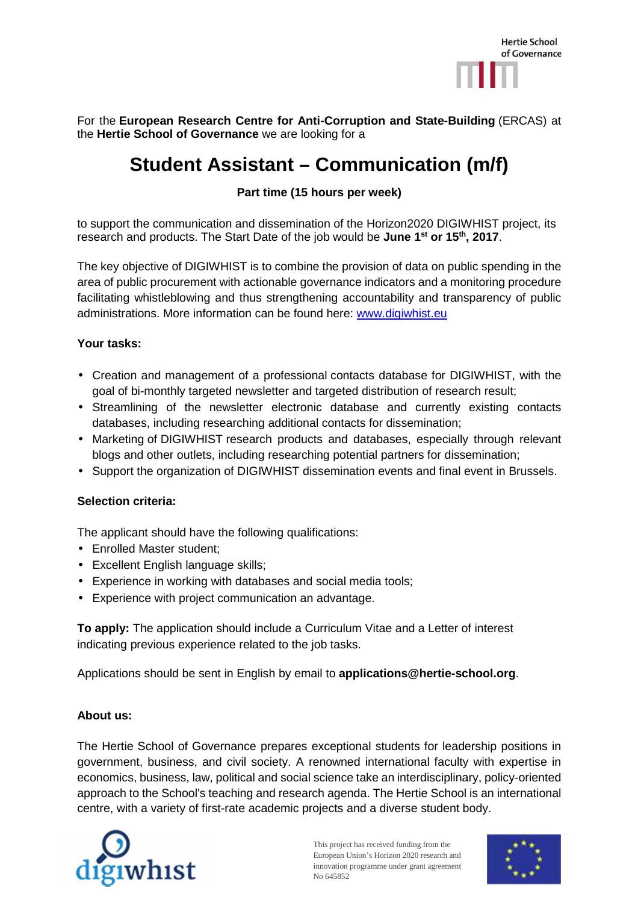

For the **European Research Centre for Anti-Corruption and State-Building** (ERCAS) at the **Hertie School of Governance** we are looking for a

# **Student Assistant – Communication (m/f)**

## **Part time (15 hours per week)**

to support the communication and dissemination of the Horizon2020 DIGIWHIST project, its research and products. The Start Date of the job would be **June 1st or 15th, 2017**.

The key objective of DIGIWHIST is to combine the provision of data on public spending in the area of public procurement with actionable governance indicators and a monitoring procedure facilitating whistleblowing and thus strengthening accountability and transparency of public administrations. More information can be found here: www.digiwhist.eu

#### **Your tasks:**

- Creation and management of a professional contacts database for DIGIWHIST, with the goal of bi-monthly targeted newsletter and targeted distribution of research result;
- Streamlining of the newsletter electronic database and currently existing contacts databases, including researching additional contacts for dissemination;
- Marketing of DIGIWHIST research products and databases, especially through relevant blogs and other outlets, including researching potential partners for dissemination;
- Support the organization of DIGIWHIST dissemination events and final event in Brussels.

### **Selection criteria:**

The applicant should have the following qualifications:

- Enrolled Master student;
- Excellent English language skills;
- Experience in working with databases and social media tools;
- Experience with project communication an advantage.

**To apply:** The application should include a Curriculum Vitae and a Letter of interest indicating previous experience related to the job tasks.

Applications should be sent in English by email to **applications@hertie-school.org**.

#### **About us:**

The Hertie School of Governance prepares exceptional students for leadership positions in government, business, and civil society. A renowned international faculty with expertise in economics, business, law, political and social science take an interdisciplinary, policy-oriented approach to the School's teaching and research agenda. The Hertie School is an international centre, with a variety of first-rate academic projects and a diverse student body.



This project has received funding from the European Union's Horizon 2020 research and innovation programme under grant agreement No 645852